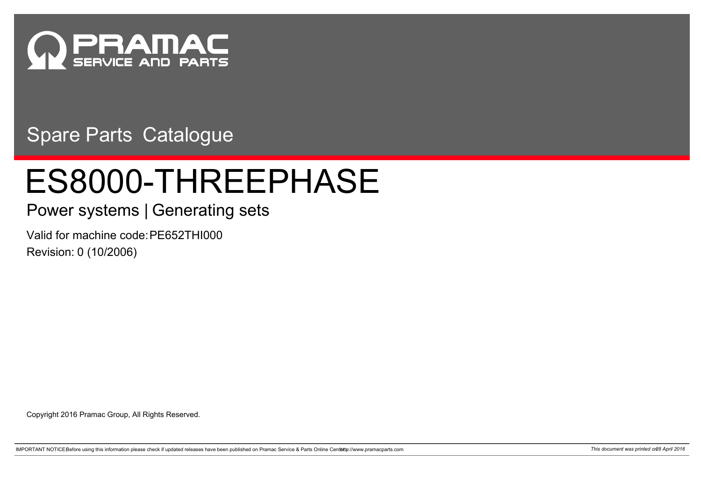

Spare Parts Catalogue

## ES8000-THREEPHASE

## Power systems | Generating sets

Valid for machine code: PE652THI000 Revision: 0 (10/2006)

Copyright 2016 Pramac Group, All Rights Reserved.

IMPORTANT NOTICEBefore using this information please check if updated releases have been published on Pramac Service & Parts Online Centette://www.pramacparts.com 71 7his document was printed on 28 April 2016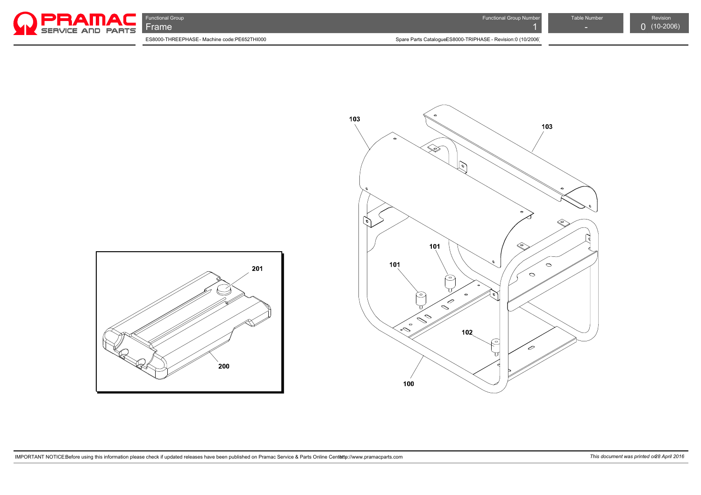





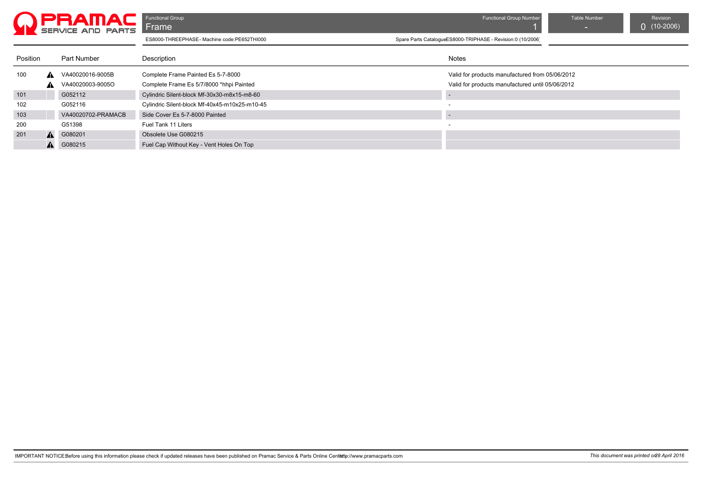

**Functional Group Functional Group Act of the Critical Group Number Table Number Table Number Revision** 

| Position |                  | Part Number        | Description                                   | Notes                                            |
|----------|------------------|--------------------|-----------------------------------------------|--------------------------------------------------|
| 100      |                  | VA40020016-9005B   | Complete Frame Painted Es 5-7-8000            | Valid for products manufactured from 05/06/2012  |
|          | <b>A</b>         | VA40020003-9005O   | Complete Frame Es 5/7/8000 *hhpi Painted      | Valid for products manufactured until 05/06/2012 |
| 101      |                  | G052112            | Cylindric Silent-block Mf-30x30-m8x15-m8-60   |                                                  |
| 102      |                  | G052116            | Cylindric Silent-block Mf-40x45-m10x25-m10-45 | $\overline{\phantom{a}}$                         |
| 103      |                  | VA40020702-PRAMACB | Side Cover Es 5-7-8000 Painted                |                                                  |
| 200      |                  | G51398             | Fuel Tank 11 Liters                           |                                                  |
| 201      | $\blacktriangle$ | G080201            | Obsolete Use G080215                          |                                                  |
|          | A                | G080215            | Fuel Cap Without Key - Vent Holes On Top      |                                                  |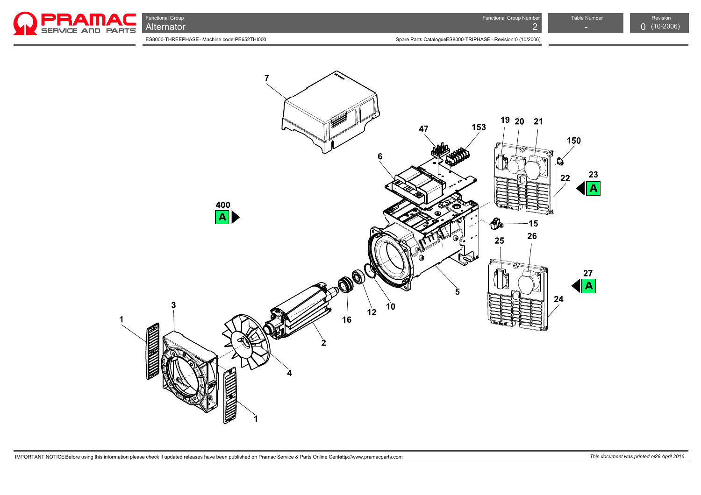

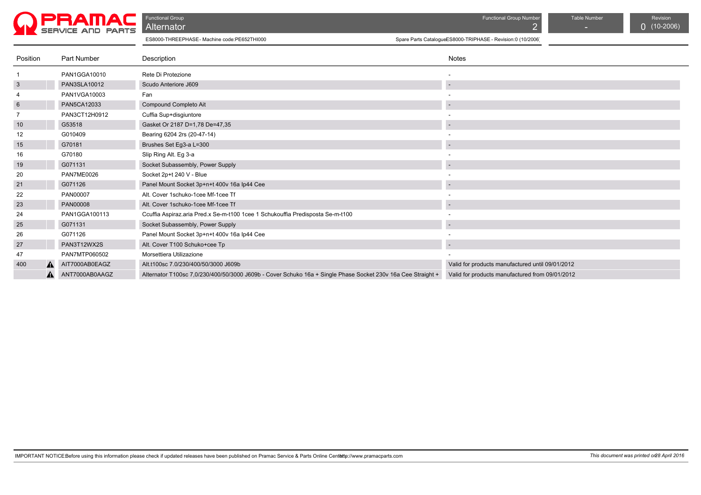

Functional Group Functional Group Number Table Number Revision

| Position        |    | Part Number    | Description                                                                                                  | Notes                                            |
|-----------------|----|----------------|--------------------------------------------------------------------------------------------------------------|--------------------------------------------------|
|                 |    | PAN1GGA10010   | Rete Di Protezione                                                                                           |                                                  |
| $\mathbf{3}$    |    | PAN3SLA10012   | Scudo Anteriore J609                                                                                         |                                                  |
| 4               |    | PAN1VGA10003   | Fan                                                                                                          |                                                  |
| $6\phantom{.}6$ |    | PAN5CA12033    | Compound Completo Ait                                                                                        |                                                  |
|                 |    | PAN3CT12H0912  | Cuffia Sup+disgiuntore                                                                                       |                                                  |
| 10              |    | G53518         | Gasket Or 2187 D=1,78 De=47,35                                                                               |                                                  |
| 12              |    | G010409        | Bearing 6204 2rs (20-47-14)                                                                                  |                                                  |
| 15              |    | G70181         | Brushes Set Eg3-a L=300                                                                                      |                                                  |
| 16              |    | G70180         | Slip Ring Alt. Eg 3-a                                                                                        |                                                  |
| 19              |    | G071131        | Socket Subassembly, Power Supply                                                                             |                                                  |
| 20              |    | PAN7ME0026     | Socket 2p+t 240 V - Blue                                                                                     |                                                  |
| 21              |    | G071126        | Panel Mount Socket 3p+n+t 400v 16a lp44 Cee                                                                  |                                                  |
| 22              |    | PAN00007       | Alt. Cover 1schuko-1cee Mf-1cee Tf                                                                           |                                                  |
| 23              |    | PAN00008       | Alt. Cover 1schuko-1cee Mf-1cee Tf                                                                           |                                                  |
| 24              |    | PAN1GGA100113  | Ccuffia Aspiraz.aria Pred.x Se-m-t100 1cee 1 Schukouffia Predisposta Se-m-t100                               |                                                  |
| 25              |    | G071131        | Socket Subassembly, Power Supply                                                                             |                                                  |
| 26              |    | G071126        | Panel Mount Socket 3p+n+t 400v 16a Ip44 Cee                                                                  |                                                  |
| 27              |    | PAN3T12WX2S    | Alt. Cover T100 Schuko+cee Tp                                                                                |                                                  |
| 47              |    | PAN7MTP060502  | Morsettiera Utilizazione                                                                                     |                                                  |
| 400             | A. | AIT7000AB0EAGZ | Alt.t100sc 7.0/230/400/50/3000 J609b                                                                         | Valid for products manufactured until 09/01/2012 |
|                 | А. | ANT7000AB0AAGZ | Alternator T100sc 7,0/230/400/50/3000 J609b - Cover Schuko 16a + Single Phase Socket 230v 16a Cee Straight + | Valid for products manufactured from 09/01/2012  |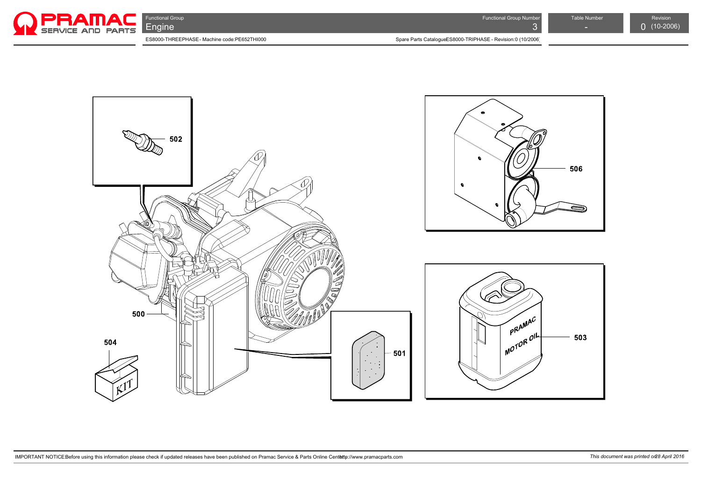